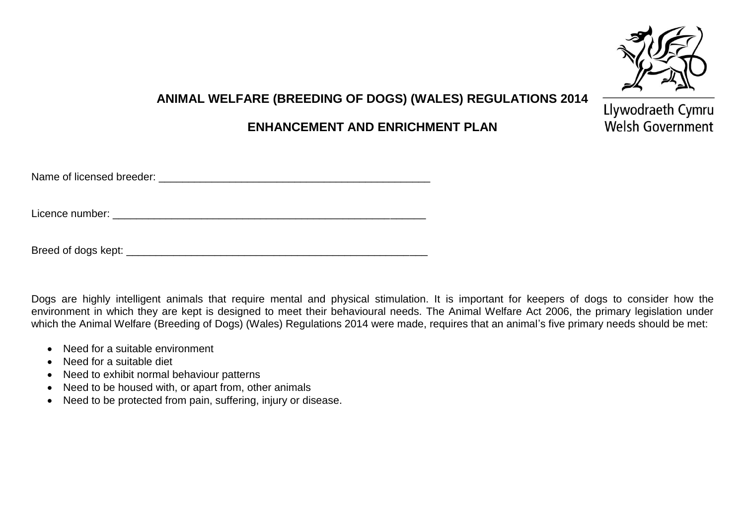

## **ANIMAL WELFARE (BREEDING OF DOGS) (WALES) REGULATIONS 2014**

## **ENHANCEMENT AND ENRICHMENT PLAN**

Llywodraeth Cymru Welsh Government

| Name of licensed breeder: |
|---------------------------|
|---------------------------|

Licence number: \_\_\_\_\_\_\_\_\_\_\_\_\_\_\_\_\_\_\_\_\_\_\_\_\_\_\_\_\_\_\_\_\_\_\_\_\_\_\_\_\_\_\_\_\_\_\_\_\_\_\_\_\_

Breed of dogs kept: \_\_\_\_\_\_\_\_\_\_\_\_\_\_\_\_\_\_\_\_\_\_\_\_\_\_\_\_\_\_\_\_\_\_\_\_\_\_\_\_\_\_\_\_\_\_\_\_\_\_\_

Dogs are highly intelligent animals that require mental and physical stimulation. It is important for keepers of dogs to consider how the environment in which they are kept is designed to meet their behavioural needs. The Animal Welfare Act 2006, the primary legislation under which the Animal Welfare (Breeding of Dogs) (Wales) Regulations 2014 were made, requires that an animal's five primary needs should be met:

- Need for a suitable environment
- Need for a suitable diet
- Need to exhibit normal behaviour patterns
- Need to be housed with, or apart from, other animals
- Need to be protected from pain, suffering, injury or disease.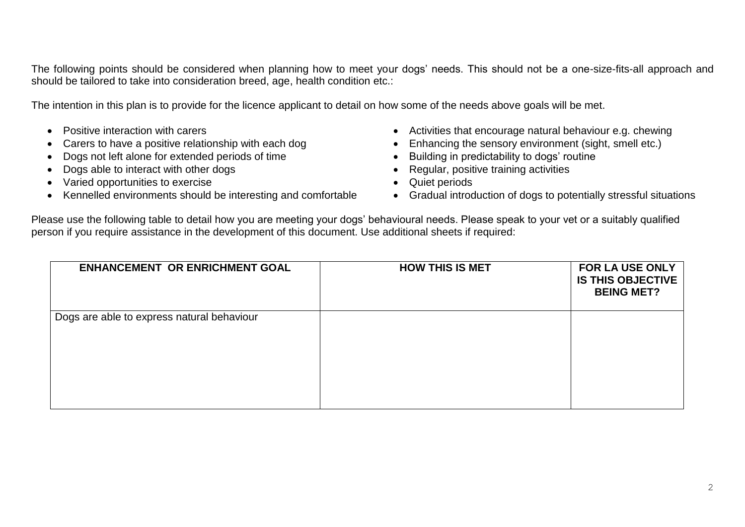The following points should be considered when planning how to meet your dogs' needs. This should not be a one-size-fits-all approach and should be tailored to take into consideration breed, age, health condition etc.:

The intention in this plan is to provide for the licence applicant to detail on how some of the needs above goals will be met.

- 
- 
- Dogs not left alone for extended periods of time **building in predictability to dogs' routine**
- Dogs able to interact with other dogs **Exercise 1998** Consumers and the Regular, positive training activities
- Varied opportunities to exercise **COV COVID-100 COVID-100 COVID-100 COVID-100 COVID-100 COVID-100 COVID-100 COVID-100 COVID-100 COVID-100 COVID-100 COVID-100 COVID-100 COVID-100 COVID-100 CO**
- Kennelled environments should be interesting and comfortable Gradual introduction of dogs to potentially stressful situations
- Positive interaction with carers **Activities that encourage natural behaviour e.g. chewing •** Activities that encourage natural behaviour e.g. chewing
	- Carers to have a positive relationship with each dog **Enhancing the sensory environment (sight, smell etc.)** 
		-
		-
		-
		-

Please use the following table to detail how you are meeting your dogs' behavioural needs. Please speak to your vet or a suitably qualified person if you require assistance in the development of this document. Use additional sheets if required:

| <b>ENHANCEMENT OR ENRICHMENT GOAL</b>      | <b>HOW THIS IS MET</b> | <b>FOR LA USE ONLY</b><br><b>IS THIS OBJECTIVE</b><br><b>BEING MET?</b> |
|--------------------------------------------|------------------------|-------------------------------------------------------------------------|
| Dogs are able to express natural behaviour |                        |                                                                         |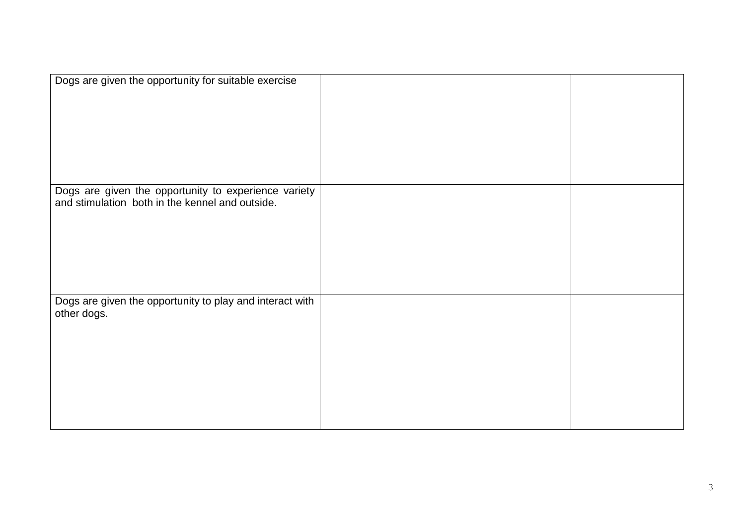| Dogs are given the opportunity for suitable exercise                                                    |  |
|---------------------------------------------------------------------------------------------------------|--|
|                                                                                                         |  |
| Dogs are given the opportunity to experience variety<br>and stimulation both in the kennel and outside. |  |
| Dogs are given the opportunity to play and interact with<br>other dogs.                                 |  |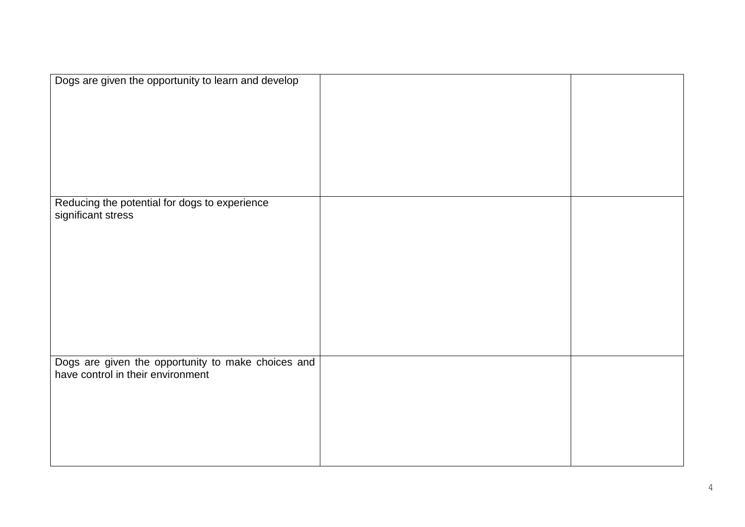| Dogs are given the opportunity to learn and develop                                     |  |
|-----------------------------------------------------------------------------------------|--|
|                                                                                         |  |
| Reducing the potential for dogs to experience<br>significant stress                     |  |
|                                                                                         |  |
|                                                                                         |  |
| Dogs are given the opportunity to make choices and<br>have control in their environment |  |
|                                                                                         |  |
|                                                                                         |  |